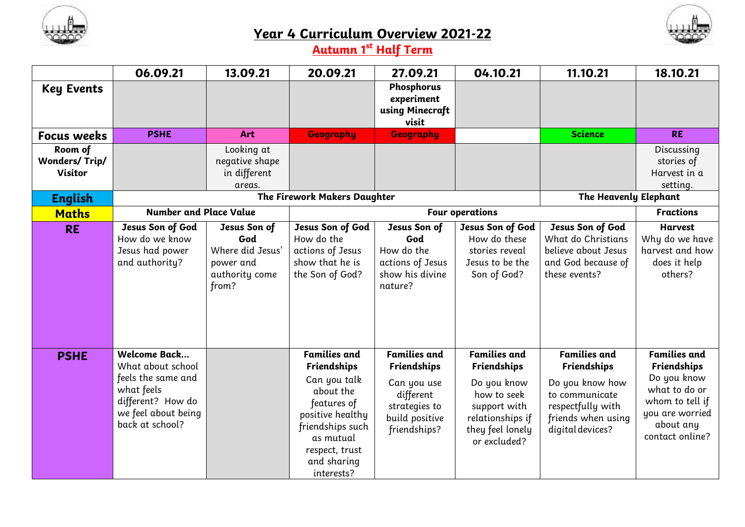

## **Year 4 Curriculum Overview 2021-22**



## **Autumn 1st Half Term**

|                                                   | 06.09.21                                                                                                                             | 13.09.21                                                                        | 20.09.21                                                                                                                                                                           | 27.09.21                                                                                                                 | 04.10.21                                                                                                                                 | 11.10.21                                                                                                                                      | 18.10.21                                                                                                                                 |
|---------------------------------------------------|--------------------------------------------------------------------------------------------------------------------------------------|---------------------------------------------------------------------------------|------------------------------------------------------------------------------------------------------------------------------------------------------------------------------------|--------------------------------------------------------------------------------------------------------------------------|------------------------------------------------------------------------------------------------------------------------------------------|-----------------------------------------------------------------------------------------------------------------------------------------------|------------------------------------------------------------------------------------------------------------------------------------------|
| <b>Key Events</b>                                 |                                                                                                                                      |                                                                                 |                                                                                                                                                                                    | Phosphorus<br>experiment<br>using Minecraft<br>visit                                                                     |                                                                                                                                          |                                                                                                                                               |                                                                                                                                          |
| <b>Focus weeks</b>                                | <b>PSHE</b>                                                                                                                          | Art                                                                             | Geography                                                                                                                                                                          | <b>Geography</b>                                                                                                         |                                                                                                                                          | <b>Science</b>                                                                                                                                | <b>RE</b>                                                                                                                                |
| Room of<br><b>Wonders/Trip/</b><br><b>Visitor</b> |                                                                                                                                      | Looking at<br>negative shape<br>in different<br>areas.                          |                                                                                                                                                                                    |                                                                                                                          |                                                                                                                                          |                                                                                                                                               | Discussing<br>stories of<br>Harvest in a<br>setting.                                                                                     |
| <b>English</b>                                    |                                                                                                                                      | The Firework Makers Daughter                                                    | <b>The Heavenly Elephant</b>                                                                                                                                                       |                                                                                                                          |                                                                                                                                          |                                                                                                                                               |                                                                                                                                          |
| <b>Maths</b>                                      | <b>Number and Place Value</b>                                                                                                        |                                                                                 |                                                                                                                                                                                    | <b>Four operations</b>                                                                                                   | <b>Fractions</b>                                                                                                                         |                                                                                                                                               |                                                                                                                                          |
| <b>RE</b>                                         | Jesus Son of God<br>How do we know<br>Jesus had power<br>and authority?                                                              | Jesus Son of<br>God<br>Where did Jesus'<br>power and<br>authority come<br>from? | Jesus Son of God<br>How do the<br>actions of Jesus<br>show that he is<br>the Son of God?                                                                                           | Jesus Son of<br>God<br>How do the<br>actions of Jesus<br>show his divine<br>nature?                                      | Jesus Son of God<br>How do these<br>stories reveal<br>Jesus to be the<br>Son of God?                                                     | Jesus Son of God<br>What do Christians<br>believe about Jesus<br>and God because of<br>these events?                                          | <b>Harvest</b><br>Why do we have<br>harvest and how<br>does it help<br>others?                                                           |
| <b>PSHE</b>                                       | Welcome Back<br>What about school<br>feels the same and<br>what feels<br>different? How do<br>we feel about being<br>back at school? |                                                                                 | <b>Families and</b><br>Friendships<br>Can you talk<br>about the<br>features of<br>positive healthy<br>friendships such<br>as mutual<br>respect, trust<br>and sharing<br>interests? | <b>Families and</b><br><b>Friendships</b><br>Can you use<br>different<br>strategies to<br>build positive<br>friendships? | <b>Families and</b><br>Friendships<br>Do you know<br>how to seek<br>support with<br>relationships if<br>they feel lonely<br>or excluded? | <b>Families and</b><br><b>Friendships</b><br>Do you know how<br>to communicate<br>respectfully with<br>friends when using<br>digital devices? | <b>Families and</b><br>Friendships<br>Do you know<br>what to do or<br>whom to tell if<br>you are worried<br>about any<br>contact online? |